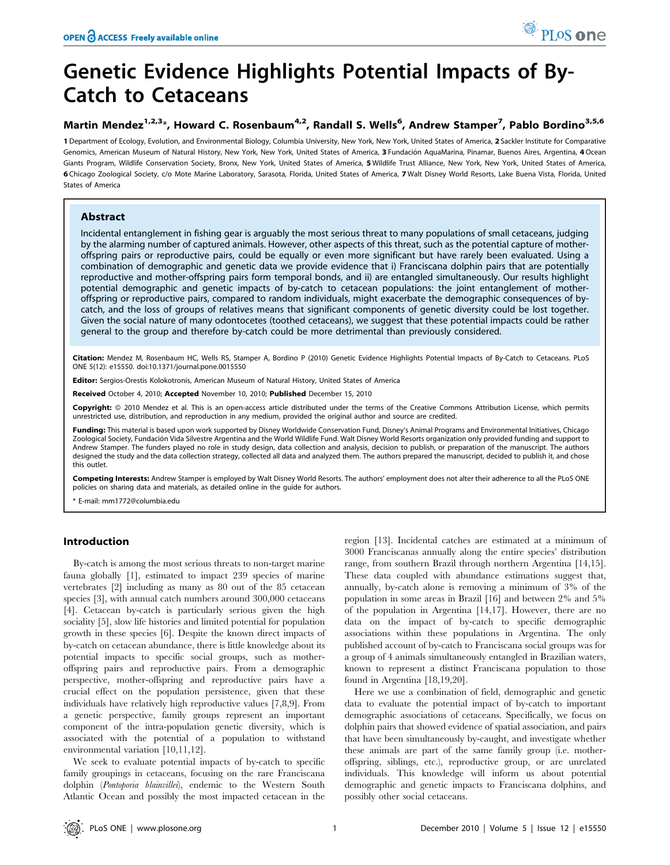# Genetic Evidence Highlights Potential Impacts of By-Catch to Cetaceans

# Martin Mendez<sup>1,2,3</sup>\*, Howard C. Rosenbaum<sup>4,2</sup>, Randall S. Wells<sup>6</sup>, Andrew Stamper<sup>7</sup>, Pablo Bordino<sup>3,5,6</sup>

1 Department of Ecology, Evolution, and Environmental Biology, Columbia University, New York, New York, United States of America, 2 Sackler Institute for Comparative Genomics, American Museum of Natural History, New York, New York, United States of America, 3 Fundación AquaMarina, Pinamar, Buenos Aires, Argentina, 4 Ocean Giants Program, Wildlife Conservation Society, Bronx, New York, United States of America, 5 Wildlife Trust Alliance, New York, New York, United States of America, 6 Chicago Zoological Society, c/o Mote Marine Laboratory, Sarasota, Florida, United States of America, 7 Walt Disney World Resorts, Lake Buena Vista, Florida, United States of America

# Abstract

Incidental entanglement in fishing gear is arguably the most serious threat to many populations of small cetaceans, judging by the alarming number of captured animals. However, other aspects of this threat, such as the potential capture of motheroffspring pairs or reproductive pairs, could be equally or even more significant but have rarely been evaluated. Using a combination of demographic and genetic data we provide evidence that i) Franciscana dolphin pairs that are potentially reproductive and mother-offspring pairs form temporal bonds, and ii) are entangled simultaneously. Our results highlight potential demographic and genetic impacts of by-catch to cetacean populations: the joint entanglement of motheroffspring or reproductive pairs, compared to random individuals, might exacerbate the demographic consequences of bycatch, and the loss of groups of relatives means that significant components of genetic diversity could be lost together. Given the social nature of many odontocetes (toothed cetaceans), we suggest that these potential impacts could be rather general to the group and therefore by-catch could be more detrimental than previously considered.

Citation: Mendez M, Rosenbaum HC, Wells RS, Stamper A, Bordino P (2010) Genetic Evidence Highlights Potential Impacts of By-Catch to Cetaceans. PLoS ONE 5(12): e15550. doi:10.1371/journal.pone.0015550

Editor: Sergios-Orestis Kolokotronis, American Museum of Natural History, United States of America

Received October 4, 2010; Accepted November 10, 2010; Published December 15, 2010

Copyright: © 2010 Mendez et al. This is an open-access article distributed under the terms of the Creative Commons Attribution License, which permits unrestricted use, distribution, and reproduction in any medium, provided the original author and source are credited.

Funding: This material is based upon work supported by Disney Worldwide Conservation Fund, Disney's Animal Programs and Environmental Initiatives, Chicago Zoological Society, Fundación Vida Silvestre Argentina and the World Wildlife Fund. Walt Disney World Resorts organization only provided funding and support to Andrew Stamper. The funders played no role in study design, data collection and analysis, decision to publish, or preparation of the manuscript. The authors designed the study and the data collection strategy, collected all data and analyzed them. The authors prepared the manuscript, decided to publish it, and chose this outlet.

Competing Interests: Andrew Stamper is employed by Walt Disney World Resorts. The authors' employment does not alter their adherence to all the PLoS ONE policies on sharing data and materials, as detailed online in the guide for authors.

\* E-mail: mm1772@columbia.edu

### Introduction

By-catch is among the most serious threats to non-target marine fauna globally [1], estimated to impact 239 species of marine vertebrates [2] including as many as 80 out of the 85 cetacean species [3], with annual catch numbers around 300,000 cetaceans [4]. Cetacean by-catch is particularly serious given the high sociality [5], slow life histories and limited potential for population growth in these species [6]. Despite the known direct impacts of by-catch on cetacean abundance, there is little knowledge about its potential impacts to specific social groups, such as motheroffspring pairs and reproductive pairs. From a demographic perspective, mother-offspring and reproductive pairs have a crucial effect on the population persistence, given that these individuals have relatively high reproductive values [7,8,9]. From a genetic perspective, family groups represent an important component of the intra-population genetic diversity, which is associated with the potential of a population to withstand environmental variation [10,11,12].

We seek to evaluate potential impacts of by-catch to specific family groupings in cetaceans, focusing on the rare Franciscana dolphin (Pontoporia blainvillei), endemic to the Western South Atlantic Ocean and possibly the most impacted cetacean in the

region [13]. Incidental catches are estimated at a minimum of 3000 Franciscanas annually along the entire species' distribution range, from southern Brazil through northern Argentina [14,15]. These data coupled with abundance estimations suggest that, annually, by-catch alone is removing a minimum of 3% of the population in some areas in Brazil [16] and between 2% and 5% of the population in Argentina [14,17]. However, there are no data on the impact of by-catch to specific demographic associations within these populations in Argentina. The only published account of by-catch to Franciscana social groups was for a group of 4 animals simultaneously entangled in Brazilian waters, known to represent a distinct Franciscana population to those found in Argentina [18,19,20].

Here we use a combination of field, demographic and genetic data to evaluate the potential impact of by-catch to important demographic associations of cetaceans. Specifically, we focus on dolphin pairs that showed evidence of spatial association, and pairs that have been simultaneously by-caught, and investigate whether these animals are part of the same family group (i.e. motheroffspring, siblings, etc.), reproductive group, or are unrelated individuals. This knowledge will inform us about potential demographic and genetic impacts to Franciscana dolphins, and possibly other social cetaceans.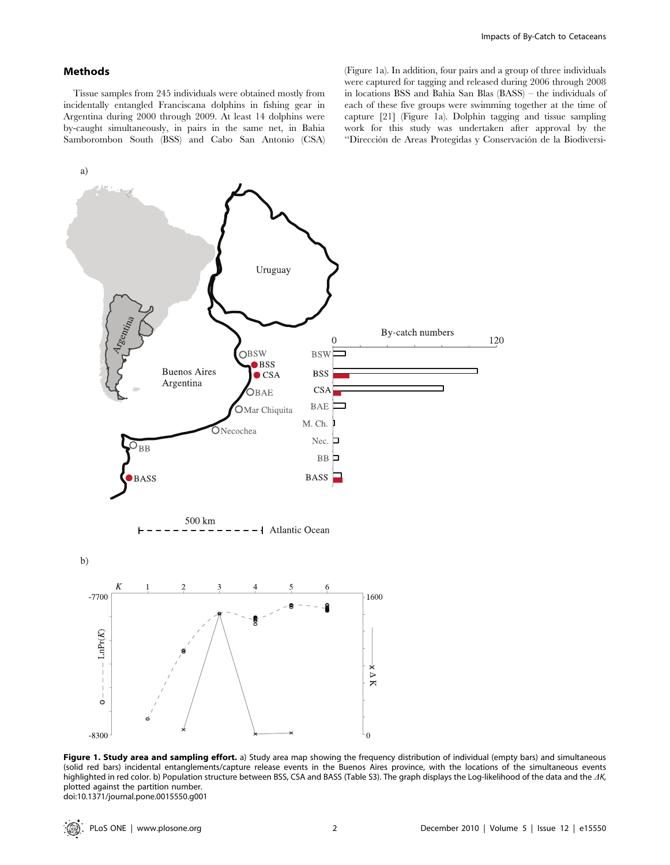# Methods

Tissue samples from 245 individuals were obtained mostly from incidentally entangled Franciscana dolphins in fishing gear in Argentina during 2000 through 2009. At least 14 dolphins were by-caught simultaneously, in pairs in the same net, in Bahia Samborombon South (BSS) and Cabo San Antonio (CSA) (Figure 1a). In addition, four pairs and a group of three individuals were captured for tagging and released during 2006 through 2008 in locations BSS and Bahia San Blas (BASS) – the individuals of each of these five groups were swimming together at the time of capture [21] (Figure 1a). Dolphin tagging and tissue sampling work for this study was undertaken after approval by the "Dirección de Areas Protegidas y Conservación de la Biodiversi-



Figure 1. Study area and sampling effort. a) Study area map showing the frequency distribution of individual (empty bars) and simultaneous (solid red bars) incidental entanglements/capture release events in the Buenos Aires province, with the locations of the simultaneous events highlighted in red color. b) Population structure between BSS, CSA and BASS (Table S3). The graph displays the Log-likelihood of the data and the  $\Delta K$ , plotted against the partition number. doi:10.1371/journal.pone.0015550.g001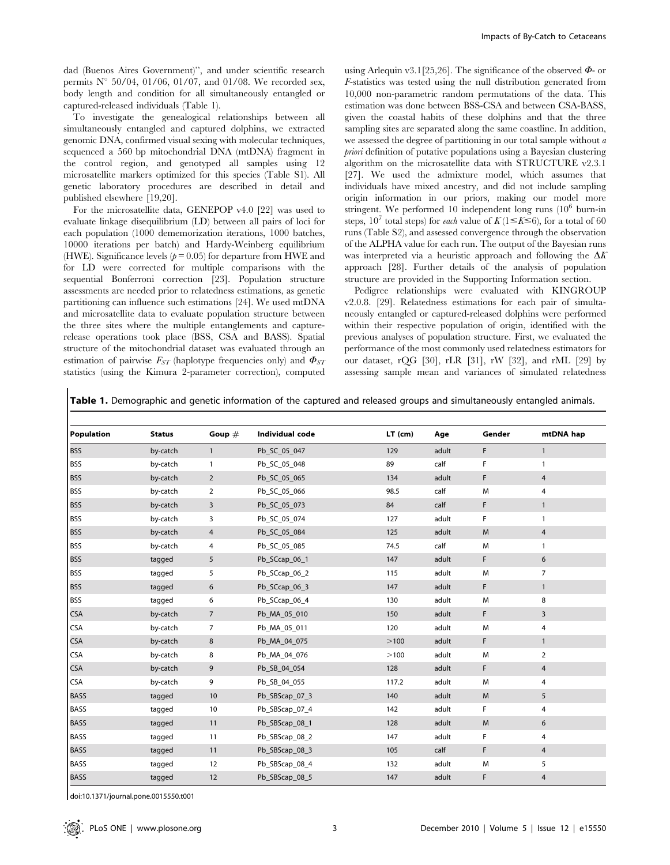dad (Buenos Aires Government)'', and under scientific research permits  $N^{\circ}$  50/04, 01/06, 01/07, and 01/08. We recorded sex, body length and condition for all simultaneously entangled or captured-released individuals (Table 1).

To investigate the genealogical relationships between all simultaneously entangled and captured dolphins, we extracted genomic DNA, confirmed visual sexing with molecular techniques, sequenced a 560 bp mitochondrial DNA (mtDNA) fragment in the control region, and genotyped all samples using 12 microsatellite markers optimized for this species (Table S1). All genetic laboratory procedures are described in detail and published elsewhere [19,20].

For the microsatellite data, GENEPOP v4.0 [22] was used to evaluate linkage disequilibrium (LD) between all pairs of loci for each population (1000 dememorization iterations, 1000 batches, 10000 iterations per batch) and Hardy-Weinberg equilibrium (HWE). Significance levels ( $p = 0.05$ ) for departure from HWE and for LD were corrected for multiple comparisons with the sequential Bonferroni correction [23]. Population structure assessments are needed prior to relatedness estimations, as genetic partitioning can influence such estimations [24]. We used mtDNA and microsatellite data to evaluate population structure between the three sites where the multiple entanglements and capturerelease operations took place (BSS, CSA and BASS). Spatial structure of the mitochondrial dataset was evaluated through an estimation of pairwise  $F_{ST}$  (haplotype frequencies only) and  $\Phi_{ST}$ statistics (using the Kimura 2-parameter correction), computed using Arlequin v3.1[25,26]. The significance of the observed  $\Phi$ - or F-statistics was tested using the null distribution generated from 10,000 non-parametric random permutations of the data. This estimation was done between BSS-CSA and between CSA-BASS, given the coastal habits of these dolphins and that the three sampling sites are separated along the same coastline. In addition, we assessed the degree of partitioning in our total sample without a priori definition of putative populations using a Bayesian clustering algorithm on the microsatellite data with STRUCTURE v2.3.1 [27]. We used the admixture model, which assumes that individuals have mixed ancestry, and did not include sampling origin information in our priors, making our model more stringent. We performed 10 independent long runs  $(10^6 \text{ burn-in}$ steps, 10<sup>7</sup> total steps) for *each* value of  $K(1 \leq K \leq 6)$ , for a total of 60 runs (Table S2), and assessed convergence through the observation of the ALPHA value for each run. The output of the Bayesian runs was interpreted via a heuristic approach and following the  $\Delta K$ approach [28]. Further details of the analysis of population structure are provided in the Supporting Information section.

Pedigree relationships were evaluated with KINGROUP v2.0.8. [29]. Relatedness estimations for each pair of simultaneously entangled or captured-released dolphins were performed within their respective population of origin, identified with the previous analyses of population structure. First, we evaluated the performance of the most commonly used relatedness estimators for our dataset, rQG [30], rLR [31], rW [32], and rML [29] by assessing sample mean and variances of simulated relatedness

Table 1. Demographic and genetic information of the captured and released groups and simultaneously entangled animals.

| Population  | <b>Status</b> | Goup $#$       | Individual code | $LT$ (cm) | Age   | Gender | mtDNA hap      |
|-------------|---------------|----------------|-----------------|-----------|-------|--------|----------------|
| <b>BSS</b>  | by-catch      | $\mathbf{1}$   | Pb SC 05 047    | 129       | adult | F.     | $\mathbf{1}$   |
| <b>BSS</b>  | by-catch      | $\mathbf{1}$   | Pb_SC_05_048    | 89        | calf  | F      | $\mathbf{1}$   |
| <b>BSS</b>  | by-catch      | $\overline{2}$ | Pb SC 05 065    | 134       | adult | F.     | $\overline{4}$ |
| <b>BSS</b>  | by-catch      | $\overline{2}$ | Pb_SC_05_066    | 98.5      | calf  | M      | 4              |
| <b>BSS</b>  | by-catch      | 3              | Pb SC 05 073    | 84        | calf  | F      | $\mathbf{1}$   |
| <b>BSS</b>  | by-catch      | 3              | Pb_SC_05_074    | 127       | adult | F      | $\mathbf{1}$   |
| <b>BSS</b>  | by-catch      | $\overline{4}$ | Pb_SC_05_084    | 125       | adult | M      | $\overline{4}$ |
| <b>BSS</b>  | by-catch      | 4              | Pb SC 05 085    | 74.5      | calf  | M      | $\mathbf{1}$   |
| <b>BSS</b>  | tagged        | 5              | Pb_SCcap_06_1   | 147       | adult | F      | 6              |
| <b>BSS</b>  | tagged        | 5              | Pb_SCcap_06_2   | 115       | adult | M      | $\overline{7}$ |
| <b>BSS</b>  | tagged        | 6              | Pb_SCcap_06_3   | 147       | adult | F.     | $\mathbf{1}$   |
| <b>BSS</b>  | tagged        | 6              | Pb SCcap 06 4   | 130       | adult | M      | 8              |
| <b>CSA</b>  | by-catch      | $\overline{7}$ | Pb_MA_05_010    | 150       | adult | F.     | 3              |
| <b>CSA</b>  | by-catch      | $\overline{7}$ | Pb MA 05 011    | 120       | adult | M      | 4              |
| <b>CSA</b>  | by-catch      | 8              | Pb_MA_04_075    | >100      | adult | F.     | $\mathbf{1}$   |
| CSA         | by-catch      | 8              | Pb_MA_04_076    | >100      | adult | M      | $\overline{2}$ |
| <b>CSA</b>  | by-catch      | 9              | Pb SB 04 054    | 128       | adult | F.     | $\overline{4}$ |
| <b>CSA</b>  | by-catch      | 9              | Pb SB 04 055    | 117.2     | adult | M      | 4              |
| <b>BASS</b> | tagged        | 10             | Pb_SBScap_07_3  | 140       | adult | M      | 5              |
| <b>BASS</b> | tagged        | 10             | Pb_SBScap_07_4  | 142       | adult | F      | 4              |
| <b>BASS</b> | tagged        | 11             | Pb_SBScap_08_1  | 128       | adult | M      | 6              |
| <b>BASS</b> | tagged        | 11             | Pb_SBScap_08_2  | 147       | adult | F      | 4              |
| <b>BASS</b> | tagged        | 11             | Pb_SBScap_08_3  | 105       | calf  | F      | $\overline{4}$ |
| <b>BASS</b> | tagged        | 12             | Pb_SBScap_08_4  | 132       | adult | M      | 5              |
| <b>BASS</b> | tagged        | 12             | Pb_SBScap_08_5  | 147       | adult | F      | $\overline{4}$ |

doi:10.1371/journal.pone.0015550.t001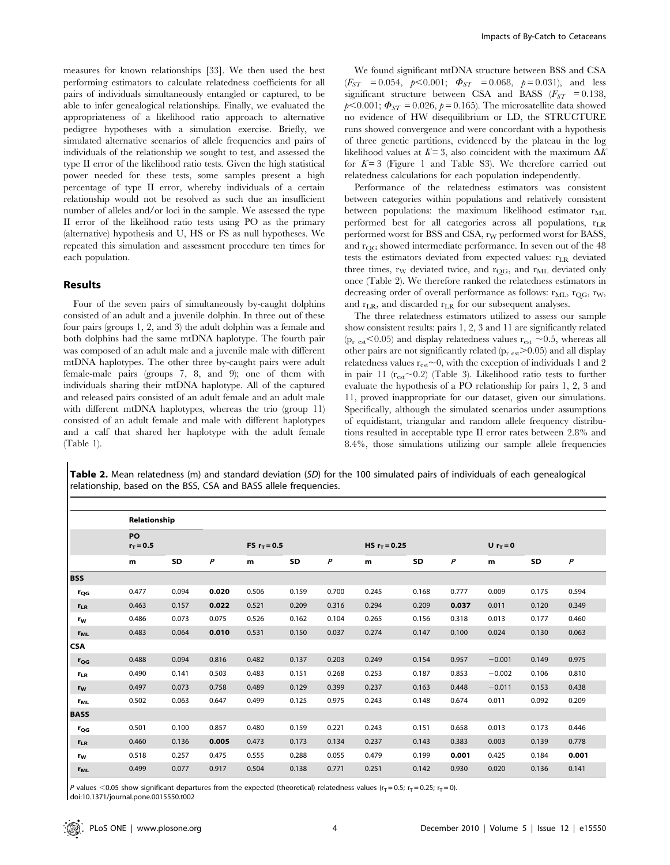measures for known relationships [33]. We then used the best performing estimators to calculate relatedness coefficients for all pairs of individuals simultaneously entangled or captured, to be able to infer genealogical relationships. Finally, we evaluated the appropriateness of a likelihood ratio approach to alternative pedigree hypotheses with a simulation exercise. Briefly, we simulated alternative scenarios of allele frequencies and pairs of individuals of the relationship we sought to test, and assessed the type II error of the likelihood ratio tests. Given the high statistical power needed for these tests, some samples present a high percentage of type II error, whereby individuals of a certain relationship would not be resolved as such due an insufficient number of alleles and/or loci in the sample. We assessed the type II error of the likelihood ratio tests using PO as the primary (alternative) hypothesis and U, HS or FS as null hypotheses. We repeated this simulation and assessment procedure ten times for each population.

#### Results

Four of the seven pairs of simultaneously by-caught dolphins consisted of an adult and a juvenile dolphin. In three out of these four pairs (groups 1, 2, and 3) the adult dolphin was a female and both dolphins had the same mtDNA haplotype. The fourth pair was composed of an adult male and a juvenile male with different mtDNA haplotypes. The other three by-caught pairs were adult female-male pairs (groups 7, 8, and 9); one of them with individuals sharing their mtDNA haplotype. All of the captured and released pairs consisted of an adult female and an adult male with different mtDNA haplotypes, whereas the trio (group 11) consisted of an adult female and male with different haplotypes and a calf that shared her haplotype with the adult female (Table 1).

We found significant mtDNA structure between BSS and CSA  $(F_{ST} = 0.054, p<0.001; \Phi_{ST} = 0.068, p=0.031)$ , and less significant structure between CSA and BASS ( $F_{ST}$  = 0.138,  $p<0.001$ ;  $\Phi_{ST} = 0.026$ ,  $p=0.165$ ). The microsatellite data showed no evidence of HW disequilibrium or LD, the STRUCTURE runs showed convergence and were concordant with a hypothesis of three genetic partitions, evidenced by the plateau in the log likelihood values at  $K = 3$ , also coincident with the maximum  $\Delta K$ for  $K = 3$  (Figure 1 and Table S3). We therefore carried out relatedness calculations for each population independently.

Performance of the relatedness estimators was consistent between categories within populations and relatively consistent between populations: the maximum likelihood estimator  $r_{ML}$ performed best for all categories across all populations,  $r_{LR}$ performed worst for BSS and CSA, r<sub>W</sub> performed worst for BASS, and  $r_{OG}$  showed intermediate performance. In seven out of the  $48$ tests the estimators deviated from expected values:  $r_{LR}$  deviated three times,  $r_W$  deviated twice, and  $r_{OG}$ , and  $r_{ML}$  deviated only once (Table 2). We therefore ranked the relatedness estimators in decreasing order of overall performance as follows:  $r_{ML}$ ,  $r_{OG}$ ,  $r_W$ , and r<sub>LR</sub>, and discarded r<sub>LR</sub> for our subsequent analyses.

The three relatedness estimators utilized to assess our sample show consistent results: pairs 1, 2, 3 and 11 are significantly related  $(p_{r,est}$  < 0.05) and display relatedness values  $r_{est}$  ~0.5, whereas all other pairs are not significantly related  $(p_{r \text{ est}} > 0.05)$  and all display relatedness values  $r_{est} \sim 0$ , with the exception of individuals 1 and 2 in pair 11 ( $r_{est}$ ~0.2) (Table 3). Likelihood ratio tests to further evaluate the hypothesis of a PO relationship for pairs 1, 2, 3 and 11, proved inappropriate for our dataset, given our simulations. Specifically, although the simulated scenarios under assumptions of equidistant, triangular and random allele frequency distributions resulted in acceptable type II error rates between 2.8% and 8.4%, those simulations utilizing our sample allele frequencies

Table 2. Mean relatedness (m) and standard deviation (SD) for the 100 simulated pairs of individuals of each genealogical relationship, based on the BSS, CSA and BASS allele frequencies.

|                       | Relationship      |           |       |                |           |                 |       |       |             |          |       |       |
|-----------------------|-------------------|-----------|-------|----------------|-----------|-----------------|-------|-------|-------------|----------|-------|-------|
|                       | PO<br>$r_T = 0.5$ |           |       | FS $r_T = 0.5$ |           | HS $r_T = 0.25$ |       |       | U $r_T = 0$ |          |       |       |
|                       | m                 | <b>SD</b> | P     | m              | <b>SD</b> | P               | m     | SD    | P           | m        | SD    | P     |
| <b>BSS</b>            |                   |           |       |                |           |                 |       |       |             |          |       |       |
| r <sub>QG</sub>       | 0.477             | 0.094     | 0.020 | 0.506          | 0.159     | 0.700           | 0.245 | 0.168 | 0.777       | 0.009    | 0.175 | 0.594 |
| $r_{LR}$              | 0.463             | 0.157     | 0.022 | 0.521          | 0.209     | 0.316           | 0.294 | 0.209 | 0.037       | 0.011    | 0.120 | 0.349 |
| r <sub>w</sub>        | 0.486             | 0.073     | 0.075 | 0.526          | 0.162     | 0.104           | 0.265 | 0.156 | 0.318       | 0.013    | 0.177 | 0.460 |
| <b>r<sub>ML</sub></b> | 0.483             | 0.064     | 0.010 | 0.531          | 0.150     | 0.037           | 0.274 | 0.147 | 0.100       | 0.024    | 0.130 | 0.063 |
| <b>CSA</b>            |                   |           |       |                |           |                 |       |       |             |          |       |       |
| r <sub>QG</sub>       | 0.488             | 0.094     | 0.816 | 0.482          | 0.137     | 0.203           | 0.249 | 0.154 | 0.957       | $-0.001$ | 0.149 | 0.975 |
| $r_{LR}$              | 0.490             | 0.141     | 0.503 | 0.483          | 0.151     | 0.268           | 0.253 | 0.187 | 0.853       | $-0.002$ | 0.106 | 0.810 |
| r <sub>w</sub>        | 0.497             | 0.073     | 0.758 | 0.489          | 0.129     | 0.399           | 0.237 | 0.163 | 0.448       | $-0.011$ | 0.153 | 0.438 |
| <b>TML</b>            | 0.502             | 0.063     | 0.647 | 0.499          | 0.125     | 0.975           | 0.243 | 0.148 | 0.674       | 0.011    | 0.092 | 0.209 |
| <b>BASS</b>           |                   |           |       |                |           |                 |       |       |             |          |       |       |
| r <sub>QG</sub>       | 0.501             | 0.100     | 0.857 | 0.480          | 0.159     | 0.221           | 0.243 | 0.151 | 0.658       | 0.013    | 0.173 | 0.446 |
| $r_{LR}$              | 0.460             | 0.136     | 0.005 | 0.473          | 0.173     | 0.134           | 0.237 | 0.143 | 0.383       | 0.003    | 0.139 | 0.778 |
| r <sub>w</sub>        | 0.518             | 0.257     | 0.475 | 0.555          | 0.288     | 0.055           | 0.479 | 0.199 | 0.001       | 0.425    | 0.184 | 0.001 |
| $r_{ML}$              | 0.499             | 0.077     | 0.917 | 0.504          | 0.138     | 0.771           | 0.251 | 0.142 | 0.930       | 0.020    | 0.136 | 0.141 |

P values <0.05 show significant departures from the expected (theoretical) relatedness values ( $r_T = 0.5$ ;  $r_T = 0.25$ ;  $r_T = 0$ ). doi:10.1371/journal.pone.0015550.t002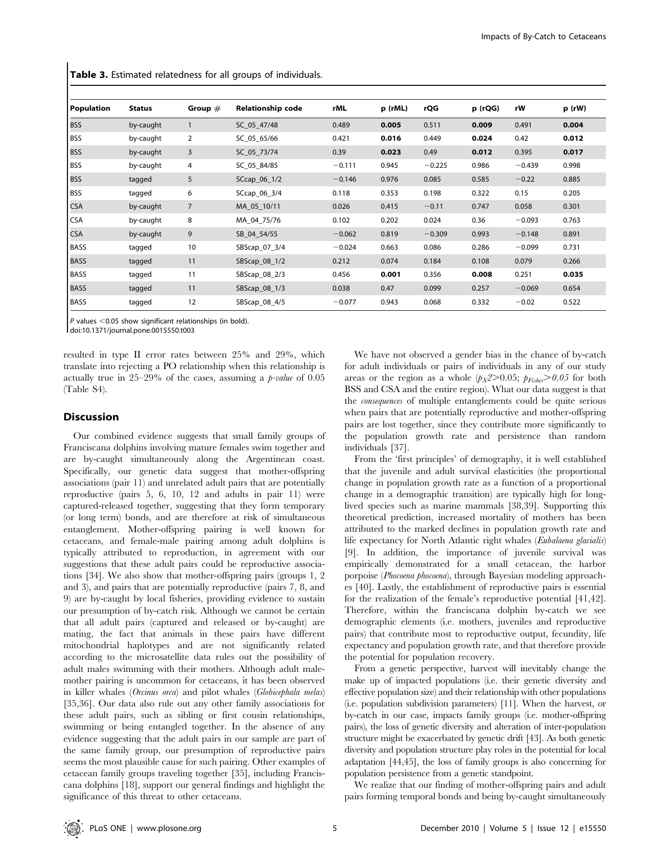Table 3. Estimated relatedness for all groups of individuals.

| Population  | <b>Status</b> | Group $#$      | <b>Relationship code</b> | rML      | p (rML) | rQG      | p (rQG) | rW       | p (rW) |
|-------------|---------------|----------------|--------------------------|----------|---------|----------|---------|----------|--------|
| <b>BSS</b>  | by-caught     |                | SC 05 47/48              | 0.489    | 0.005   | 0.511    | 0.009   | 0.491    | 0.004  |
| <b>BSS</b>  | by-caught     | $\overline{2}$ | SC 05 65/66              | 0.421    | 0.016   | 0.449    | 0.024   | 0.42     | 0.012  |
| <b>BSS</b>  | by-caught     | 3              | SC 05 73/74              | 0.39     | 0.023   | 0.49     | 0.012   | 0.395    | 0.017  |
| <b>BSS</b>  | by-caught     | 4              | SC 05 84/85              | $-0.111$ | 0.945   | $-0.225$ | 0.986   | $-0.439$ | 0.998  |
| <b>BSS</b>  | tagged        | 5              | SCcap_06_1/2             | $-0.146$ | 0.976   | 0.085    | 0.585   | $-0.22$  | 0.885  |
| <b>BSS</b>  | tagged        | 6              | SCcap_06_3/4             | 0.118    | 0.353   | 0.198    | 0.322   | 0.15     | 0.205  |
| <b>CSA</b>  | by-caught     | $\overline{7}$ | MA 05 10/11              | 0.026    | 0.415   | $-0.11$  | 0.747   | 0.058    | 0.301  |
| <b>CSA</b>  | by-caught     | 8              | MA 04 75/76              | 0.102    | 0.202   | 0.024    | 0.36    | $-0.093$ | 0.763  |
| <b>CSA</b>  | by-caught     | 9              | SB 04 54/55              | $-0.062$ | 0.819   | $-0.309$ | 0.993   | $-0.148$ | 0.891  |
| <b>BASS</b> | tagged        | 10             | SBScap_07_3/4            | $-0.024$ | 0.663   | 0.086    | 0.286   | $-0.099$ | 0.731  |
| <b>BASS</b> | tagged        | 11             | SBScap 08 1/2            | 0.212    | 0.074   | 0.184    | 0.108   | 0.079    | 0.266  |
| <b>BASS</b> | tagged        | 11             | SBScap 08 2/3            | 0.456    | 0.001   | 0.356    | 0.008   | 0.251    | 0.035  |
| <b>BASS</b> | tagged        | 11             | SBScap_08_1/3            | 0.038    | 0.47    | 0.099    | 0.257   | $-0.069$ | 0.654  |
| <b>BASS</b> | tagged        | 12             | SBScap 08 4/5            | $-0.077$ | 0.943   | 0.068    | 0.332   | $-0.02$  | 0.522  |

P values  $<$  0.05 show significant relationships (in bold).

doi:10.1371/journal.pone.0015550.t003

resulted in type II error rates between 25% and 29%, which translate into rejecting a PO relationship when this relationship is actually true in  $25-29\%$  of the cases, assuming a *p-value* of 0.05 (Table S4).

# Discussion

Our combined evidence suggests that small family groups of Franciscana dolphins involving mature females swim together and are by-caught simultaneously along the Argentinean coast. Specifically, our genetic data suggest that mother-offspring associations (pair 11) and unrelated adult pairs that are potentially reproductive (pairs 5, 6, 10, 12 and adults in pair 11) were captured-released together, suggesting that they form temporary (or long term) bonds, and are therefore at risk of simultaneous entanglement. Mother-offspring pairing is well known for cetaceans, and female-male pairing among adult dolphins is typically attributed to reproduction, in agreement with our suggestions that these adult pairs could be reproductive associations [34]. We also show that mother-offspring pairs (groups 1, 2 and 3), and pairs that are potentially reproductive (pairs 7, 8, and 9) are by-caught by local fisheries, providing evidence to sustain our presumption of by-catch risk. Although we cannot be certain that all adult pairs (captured and released or by-caught) are mating, the fact that animals in these pairs have different mitochondrial haplotypes and are not significantly related according to the microsatellite data rules out the possibility of adult males swimming with their mothers. Although adult malemother pairing is uncommon for cetaceans, it has been observed in killer whales (Orcinus orca) and pilot whales (Globicephala melas) [35,36]. Our data also rule out any other family associations for these adult pairs, such as sibling or first cousin relationships, swimming or being entangled together. In the absence of any evidence suggesting that the adult pairs in our sample are part of the same family group, our presumption of reproductive pairs seems the most plausible cause for such pairing. Other examples of cetacean family groups traveling together [35], including Franciscana dolphins [18], support our general findings and highlight the significance of this threat to other cetaceans.

We have not observed a gender bias in the chance of by-catch for adult individuals or pairs of individuals in any of our study areas or the region as a whole  $(p_X^2>0.05; p_{Fisher}^2>0.05$  for both BSS and CSA and the entire region). What our data suggest is that the consequences of multiple entanglements could be quite serious when pairs that are potentially reproductive and mother-offspring pairs are lost together, since they contribute more significantly to the population growth rate and persistence than random individuals [37].

From the 'first principles' of demography, it is well established that the juvenile and adult survival elasticities (the proportional change in population growth rate as a function of a proportional change in a demographic transition) are typically high for longlived species such as marine mammals [38,39]. Supporting this theoretical prediction, increased mortality of mothers has been attributed to the marked declines in population growth rate and life expectancy for North Atlantic right whales (Eubalaena glacialis) [9]. In addition, the importance of juvenile survival was empirically demonstrated for a small cetacean, the harbor porpoise (Phocoena phocoena), through Bayesian modeling approaches [40]. Lastly, the establishment of reproductive pairs is essential for the realization of the female's reproductive potential [41,42]. Therefore, within the franciscana dolphin by-catch we see demographic elements (i.e. mothers, juveniles and reproductive pairs) that contribute most to reproductive output, fecundity, life expectancy and population growth rate, and that therefore provide the potential for population recovery.

From a genetic perspective, harvest will inevitably change the make up of impacted populations (i.e. their genetic diversity and effective population size) and their relationship with other populations (i.e. population subdivision parameters) [11]. When the harvest, or by-catch in our case, impacts family groups (i.e. mother-offspring pairs), the loss of genetic diversity and alteration of inter-population structure might be exacerbated by genetic drift [43]. As both genetic diversity and population structure play roles in the potential for local adaptation [44,45], the loss of family groups is also concerning for population persistence from a genetic standpoint.

We realize that our finding of mother-offspring pairs and adult pairs forming temporal bonds and being by-caught simultaneously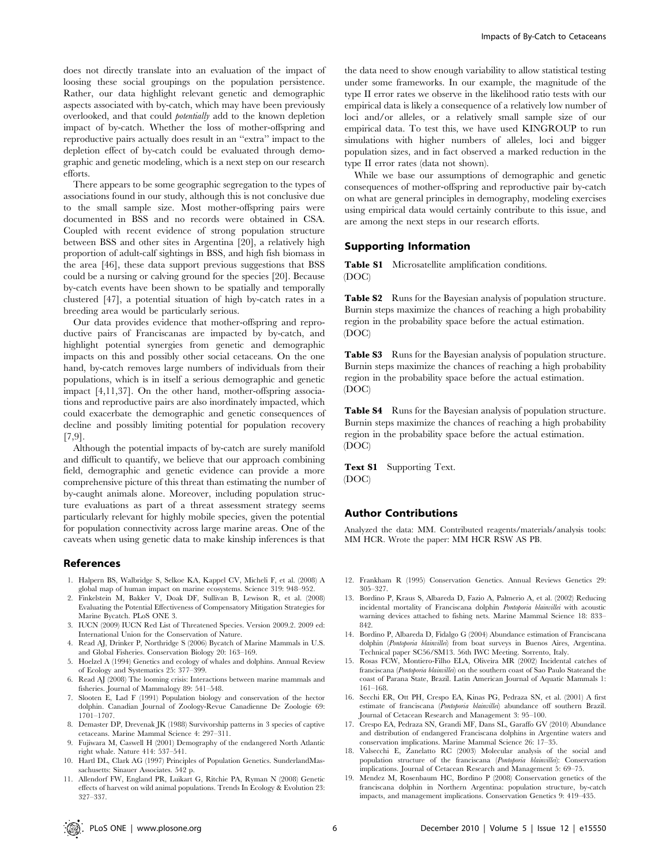does not directly translate into an evaluation of the impact of loosing these social groupings on the population persistence. Rather, our data highlight relevant genetic and demographic aspects associated with by-catch, which may have been previously overlooked, and that could potentially add to the known depletion impact of by-catch. Whether the loss of mother-offspring and reproductive pairs actually does result in an ''extra'' impact to the depletion effect of by-catch could be evaluated through demographic and genetic modeling, which is a next step on our research efforts.

There appears to be some geographic segregation to the types of associations found in our study, although this is not conclusive due to the small sample size. Most mother-offspring pairs were documented in BSS and no records were obtained in CSA. Coupled with recent evidence of strong population structure between BSS and other sites in Argentina [20], a relatively high proportion of adult-calf sightings in BSS, and high fish biomass in the area [46], these data support previous suggestions that BSS could be a nursing or calving ground for the species [20]. Because by-catch events have been shown to be spatially and temporally clustered [47], a potential situation of high by-catch rates in a breeding area would be particularly serious.

Our data provides evidence that mother-offspring and reproductive pairs of Franciscanas are impacted by by-catch, and highlight potential synergies from genetic and demographic impacts on this and possibly other social cetaceans. On the one hand, by-catch removes large numbers of individuals from their populations, which is in itself a serious demographic and genetic impact [4,11,37]. On the other hand, mother-offspring associations and reproductive pairs are also inordinately impacted, which could exacerbate the demographic and genetic consequences of decline and possibly limiting potential for population recovery [7,9].

Although the potential impacts of by-catch are surely manifold and difficult to quantify, we believe that our approach combining field, demographic and genetic evidence can provide a more comprehensive picture of this threat than estimating the number of by-caught animals alone. Moreover, including population structure evaluations as part of a threat assessment strategy seems particularly relevant for highly mobile species, given the potential for population connectivity across large marine areas. One of the caveats when using genetic data to make kinship inferences is that

#### References

- 1. Halpern BS, Walbridge S, Selkoe KA, Kappel CV, Micheli F, et al. (2008) A global map of human impact on marine ecosystems. Science 319: 948–952.
- 2. Finkelstein M, Bakker V, Doak DF, Sullivan B, Lewison R, et al. (2008) Evaluating the Potential Effectiveness of Compensatory Mitigation Strategies for Marine Bycatch. PLoS ONE 3.
- 3. IUCN (2009) IUCN Red List of Threatened Species. Version 2009.2. 2009 ed: International Union for the Conservation of Nature.
- 4. Read AJ, Drinker P, Northridge S (2006) Bycatch of Marine Mammals in U.S. and Global Fisheries. Conservation Biology 20: 163–169.
- 5. Hoelzel A (1994) Genetics and ecology of whales and dolphins. Annual Review of Ecology and Systematics 25: 377–399.
- 6. Read AJ (2008) The looming crisis: Interactions between marine mammals and fisheries. Journal of Mammalogy 89: 541–548.
- 7. Slooten E, Lad F (1991) Population biology and conservation of the hector dolphin. Canadian Journal of Zoology-Revue Canadienne De Zoologie 69: 1701–1707.
- 8. Demaster DP, Drevenak JK (1988) Survivorship patterns in 3 species of captive cetaceans. Marine Mammal Science 4: 297–311.
- 9. Fujiwara M, Caswell H (2001) Demography of the endangered North Atlantic right whale. Nature 414: 537–541.
- 10. Hartl DL, Clark AG (1997) Principles of Population Genetics. SunderlandMassachusetts: Sinauer Associates. 542 p.
- 11. Allendorf FW, England PR, Luikart G, Ritchie PA, Ryman N (2008) Genetic effects of harvest on wild animal populations. Trends In Ecology & Evolution 23: 327–337.

the data need to show enough variability to allow statistical testing under some frameworks. In our example, the magnitude of the type II error rates we observe in the likelihood ratio tests with our empirical data is likely a consequence of a relatively low number of loci and/or alleles, or a relatively small sample size of our empirical data. To test this, we have used KINGROUP to run simulations with higher numbers of alleles, loci and bigger population sizes, and in fact observed a marked reduction in the type II error rates (data not shown).

While we base our assumptions of demographic and genetic consequences of mother-offspring and reproductive pair by-catch on what are general principles in demography, modeling exercises using empirical data would certainly contribute to this issue, and are among the next steps in our research efforts.

#### Supporting Information

Table S1 Microsatellite amplification conditions. (DOC)

Table S2 Runs for the Bayesian analysis of population structure. Burnin steps maximize the chances of reaching a high probability region in the probability space before the actual estimation. (DOC)

Table S3 Runs for the Bayesian analysis of population structure. Burnin steps maximize the chances of reaching a high probability region in the probability space before the actual estimation. (DOC)

Table S4 Runs for the Bayesian analysis of population structure. Burnin steps maximize the chances of reaching a high probability region in the probability space before the actual estimation. (DOC)

Text S1 Supporting Text. (DOC)

# Author Contributions

Analyzed the data: MM. Contributed reagents/materials/analysis tools: MM HCR. Wrote the paper: MM HCR RSW AS PB.

- 12. Frankham R (1995) Conservation Genetics. Annual Reviews Genetics 29: 305–327.
- 13. Bordino P, Kraus S, Albareda D, Fazio A, Palmerio A, et al. (2002) Reducing incidental mortality of Franciscana dolphin Pontoporia blainvillei with acoustic warning devices attached to fishing nets. Marine Mammal Science 18: 833– 842.
- 14. Bordino P, Albareda D, Fidalgo G (2004) Abundance estimation of Franciscana dolphin (Pontoporia blainvillei) from boat surveys in Buenos Aires, Argentina. Technical paper SC56/SM13. 56th IWC Meeting. Sorrento, Italy.
- 15. Rosas FCW, Montiero-Filho ELA, Oliveira MR (2002) Incidental catches of franciscana (Pontoporia blainvillei) on the southern coast of Sao Paulo Stateand the coast of Parana State, Brazil. Latin American Journal of Aquatic Mammals 1: 161–168.
- 16. Secchi ER, Ott PH, Crespo EA, Kinas PG, Pedraza SN, et al. (2001) A first estimate of franciscana (Pontoporia blainvillei) abundance off southern Brazil. Journal of Cetacean Research and Management 3: 95–100.
- 17. Crespo EA, Pedraza SN, Grandi MF, Dans SL, Garaffo GV (2010) Abundance and distribution of endangered Franciscana dolphins in Argentine waters and conservation implications. Marine Mammal Science 26: 17–35.
- 18. Valsecchi E, Zanelatto RC (2003) Molecular analysis of the social and population structure of the franciscana (Pontoporia blainvillei): Conservation implications. Journal of Cetacean Research and Management 5: 69–75.
- 19. Mendez M, Rosenbaum HC, Bordino P (2008) Conservation genetics of the franciscana dolphin in Northern Argentina: population structure, by-catch impacts, and management implications. Conservation Genetics 9: 419–435.